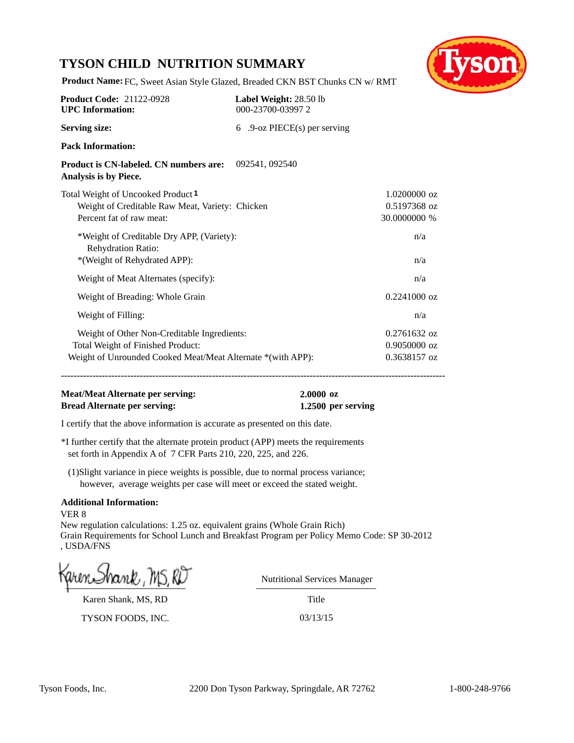# **TYSON CHILD NUTRITION SUMMARY**



**Product Name:** FC, Sweet Asian Style Glazed, Breaded CKN BST Chunks CN w/ RMT

| <b>Product Code: 21122-0928</b><br><b>UPC</b> Information:                                                                                      | Label Weight: 28.50 lb<br>000-23700-039972 |                                                |
|-------------------------------------------------------------------------------------------------------------------------------------------------|--------------------------------------------|------------------------------------------------|
| <b>Serving size:</b>                                                                                                                            | 6 .9-oz PIECE(s) per serving               |                                                |
| <b>Pack Information:</b>                                                                                                                        |                                            |                                                |
| Product is CN-labeled. CN numbers are: 092541, 092540<br>Analysis is by Piece.                                                                  |                                            |                                                |
| Total Weight of Uncooked Product <sup>1</sup><br>Weight of Creditable Raw Meat, Variety: Chicken<br>Percent fat of raw meat:                    |                                            | $1.0200000$ oz<br>0.5197368 oz<br>30.0000000 % |
| *Weight of Creditable Dry APP, (Variety):<br><b>Rehydration Ratio:</b><br>*(Weight of Rehydrated APP):                                          |                                            | n/a<br>n/a                                     |
| Weight of Meat Alternates (specify):                                                                                                            |                                            | n/a                                            |
| Weight of Breading: Whole Grain                                                                                                                 |                                            | $0.2241000$ oz                                 |
| Weight of Filling:                                                                                                                              |                                            | n/a                                            |
| Weight of Other Non-Creditable Ingredients:<br>Total Weight of Finished Product:<br>Weight of Unrounded Cooked Meat/Meat Alternate *(with APP): |                                            | 0.2761632 oz<br>$0.9050000$ oz<br>0.3638157 oz |

**--------------------------------------------------------------------------------------------------------------------------**

#### **Meat/Meat Alternate per serving: 2.0000 oz Bread Alternate per serving: 1.2500 per serving**

I certify that the above information is accurate as presented on this date.

\*I further certify that the alternate protein product (APP) meets the requirements set forth in Appendix A of 7 CFR Parts 210, 220, 225, and 226.

(1)Slight variance in piece weights is possible, due to normal process variance; however, average weights per case will meet or exceed the stated weight.

#### **Additional Information:**

VER 8 New regulation calculations: 1.25 oz. equivalent grains (Whole Grain Rich) Grain Requirements for School Lunch and Breakfast Program per Policy Memo Code: SP 30-2012 , USDA/FNS

Karen Shank, MS, RD

TYSON FOODS, INC. 03/13/15

Nutritional Services Manager

Title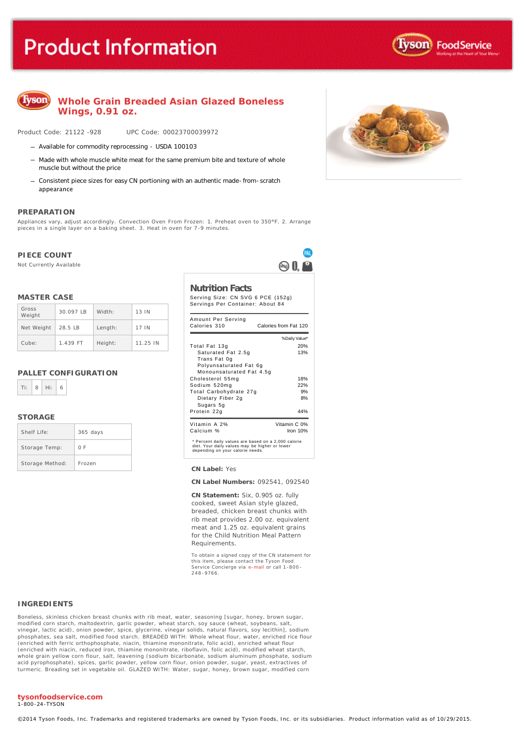# **Product Information**





### **Whole Grain Breaded Asian Glazed Boneless Wings, 0.91 oz.**

Product Code: 21122 -928 UPC Code: 00023700039972

- Available for commodity reprocessing USDA 100103
- Made with whole muscle white meat for the same premium bite and texture of whole muscle but without the price
- Consistent piece sizes for easy CN portioning with an authentic made-from-scratch appearance

#### **PREPARATION**

Appliances vary, adjust accordingly. Convection Oven From Frozen: 1. **Preheat oven to 350°F.** 2. Arrange<br>pieces in a single layer on a baking sheet. 3. Heat in oven for 7-9 minutes.

#### **PIECE COUNT**

Not Currently Available

#### **MASTER CASE**

| Gross<br>Weight | 30.097 LB        | Width:  | 13 IN    |
|-----------------|------------------|---------|----------|
| Net Weight      | $28.5 \text{ B}$ | Length: | 17 IN    |
| Cube:           | 1.439 FT         | Height: | 11.25 IN |

#### **PALLET CONFIGURATION**

|  | $Ti: 8$ $Hi: 6$ |  |
|--|-----------------|--|
|  |                 |  |

#### **STORAGE**

| Shelf Life:     | $365$ days |
|-----------------|------------|
| Storage Temp:   | 0 F        |
| Storage Method: | Frozen     |

**Nutrition Facts** Serving Size: CN SVG 6 PCE (152g)

Servings Per Container: About 84

 $\mathbb{R}$   $\mathbb{R}$   $\mathbb{R}$ 

| Amount Per Serving<br>Calories 310                                                                                                        | Calories from Fat 120 |  |  |
|-------------------------------------------------------------------------------------------------------------------------------------------|-----------------------|--|--|
|                                                                                                                                           | % Daily Value*        |  |  |
| Total Fat 13g                                                                                                                             | 20%                   |  |  |
| Saturated Fat 2.5g                                                                                                                        | 13%                   |  |  |
| Trans Fat 0g<br>Polyunsaturated Fat 6q<br>Monounsaturated Fat 4.5q                                                                        |                       |  |  |
| Cholesterol 55mg                                                                                                                          | 18%                   |  |  |
| Sodium 520mg                                                                                                                              | 22%                   |  |  |
| Total Carbohydrate 27g                                                                                                                    | 9%                    |  |  |
| Dietary Fiber 2g<br>Sugars 5g                                                                                                             | 8%                    |  |  |
| Protein 22g                                                                                                                               | 44%                   |  |  |
| Vitamin A 2%                                                                                                                              | Vitamin C 0%          |  |  |
| Calcium %                                                                                                                                 | Iron $10%$            |  |  |
| * Percent daily values are based on a 2,000 calorie<br>diet. Your daily values may be higher or lower<br>depending on your calorie needs. |                       |  |  |



**CN Label Numbers:** 092541, 092540

**CN Statement:** Six, 0.905 oz. fully cooked, sweet Asian style glazed, breaded, chicken breast chunks with rib meat provides 2.00 oz. equivalent meat and 1.25 oz. equivalent grains for the Child Nutrition Meal Pattern Requirements.

To obtain a signed copy of the CN statement for this item, please contact the Tyson Food Service Concierge via [e-mail](mailto:fscomments@tyson.com) or call 1-800 - 248 -9766.

#### **INGREDIENTS**

Boneless, skinless chicken breast chunks with rib meat, water, seasoning [sugar, honey, brown sugar, modified corn starch, maltodextrin, garlic powder, wheat starch, soy sauce (wheat, soybeans, salt, vinegar, lactic acid), onion powder, spice, glycerine, vinegar solids, natural flavors, soy lecithin], sodium phosphates, sea salt, modified food starch. BREADED WITH: Whole wheat flour, water, enriched rice flour (enriched with ferric orthophosphate, niacin, thiamine mononitrate, folic acid), enriched wheat flour (enriched with niacin, reduced iron, thiamine mononitrate, riboflavin, folic acid), modified wheat starch, whole grain yellow corn flour, salt, leavening (sodium bicarbonate, sodium aluminum phosphate, sodium acid pyrophosphate), spices, garlic powder, yellow corn flour, onion powder, sugar, yeast, extractives of turmeric. Breading set in vegetable oil. GLAZED WITH: Water, sugar, honey, brown sugar, modified corn



1-800-24-TYSON

©2014 Tyson Foods, Inc. Trademarks and registered trademarks are owned by Tyson Foods, Inc. or its subsidiaries. Product information valid as of 10/29/2015.

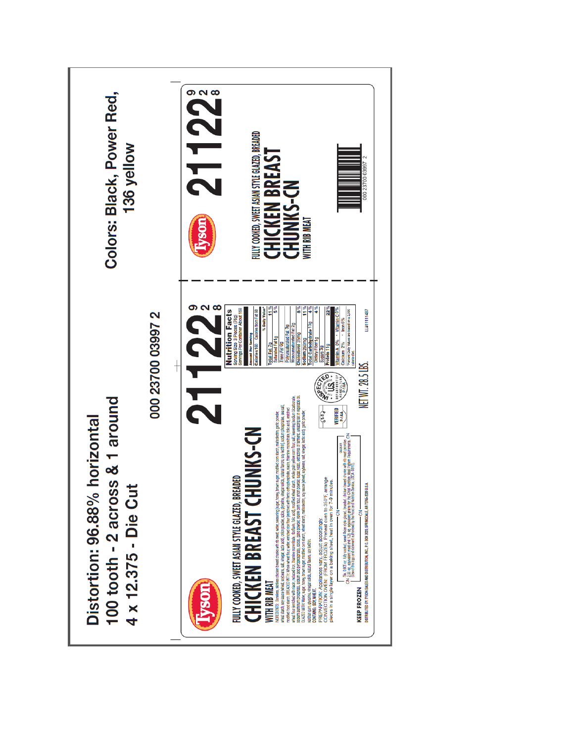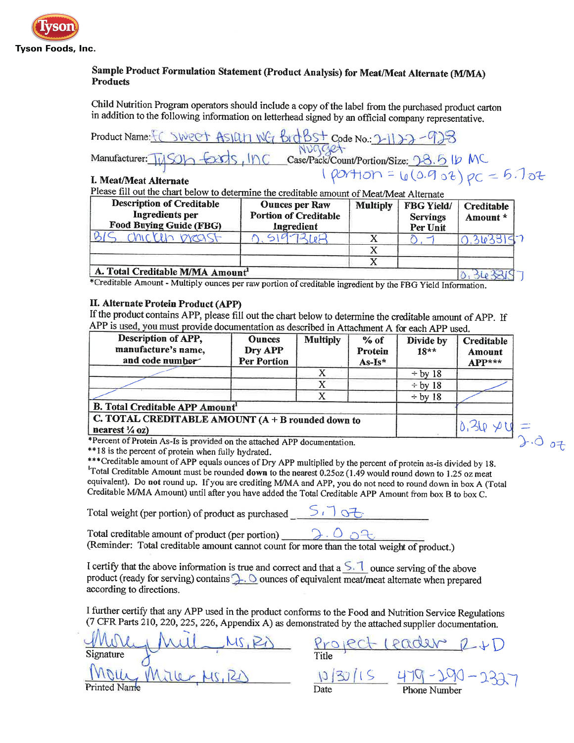

## Sample Product Formulation Statement (Product Analysis) for Meat/Meat Alternate (M/MA) **Products**

Child Nutrition Program operators should include a copy of the label from the purchased product carton in addition to the following information on letterhead signed by an official company representative.

ASIGLING Brookst Code No. 2-1122-923 Product Name: C SWPPT  $NUGGe+$ <br>Case/Pack/Count/Portion/Size: 08.6 1b MC<br>1 portion =  $U(0.902)$  pc = 6.702 Manufacturer:  $\sqrt{\frac{1}{\sqrt{2}}}$ I. Meat/Meat Alternate

Please fill out the chart below to determine the creditable amount of Meat/Meat Alternate

| <b>Description of Creditable</b><br>Ingredients per<br>Food Buying Guide (FBG) | <b>Ounces per Raw</b><br><b>Portion of Creditable</b><br>Ingredient | <b>Multiply</b> | <b>FBG Yield/</b><br><b>Servings</b><br>Per Unit | <b>Creditable</b><br>Amount * |
|--------------------------------------------------------------------------------|---------------------------------------------------------------------|-----------------|--------------------------------------------------|-------------------------------|
| MICKED DRASH                                                                   |                                                                     |                 |                                                  |                               |
|                                                                                |                                                                     |                 |                                                  |                               |
|                                                                                |                                                                     |                 |                                                  |                               |
| A. Total Creditable M/MA Amount                                                |                                                                     |                 |                                                  |                               |

\*Creditable Amount - Multiply ounces per raw portion of creditable ingredient by the FBG Yield Information.

#### II. Alternate Protein Product (APP)

If the product contains APP, please fill out the chart below to determine the creditable amount of APP. If APP is used, you must provide documentation as described in Attachment A for each APP used

| Description of APP,<br>manufacture's name,<br>and code number                    | <b>Ounces</b><br>Dry APP<br>Per Portion | <b>Multiply</b> | $%$ of<br>Protein<br>As-Is* | Divide by<br>$18**$ | <b>Creditable</b><br>Amount<br>$APP***$ |
|----------------------------------------------------------------------------------|-----------------------------------------|-----------------|-----------------------------|---------------------|-----------------------------------------|
|                                                                                  |                                         |                 |                             | $\div$ by 18        |                                         |
|                                                                                  |                                         |                 |                             | $\div$ by 18        |                                         |
|                                                                                  |                                         |                 |                             | $\div$ by 18        |                                         |
| <b>B. Total Creditable APP Amount'</b>                                           |                                         |                 |                             |                     |                                         |
| C. TOTAL CREDITABLE AMOUNT $(A + B$ rounded down to<br>nearest $\frac{1}{4}$ oz) |                                         |                 |                             |                     |                                         |

\*Percent of Protein As-Is is provided on the attached APP documentation.

\*\*18 is the percent of protein when fully hydrated.

\*\*\* Creditable amount of APP equals ounces of Dry APP multiplied by the percent of protein as-is divided by 18. Total Creditable Amount must be rounded down to the nearest 0.25oz (1.49 would round down to 1.25 oz meat equivalent). Do not round up. If you are crediting M/MA and APP, you do not need to round down in box A (Total Creditable M/MA Amount) until after you have added the Total Creditable APP Amount from box B to box C.

Total weight (per portion) of product as purchased  $5.75$ 

Total creditable amount of product (per portion) Total creditable amount of product (per portion)<br>  $\overline{a}$ .  $\overline{a}$ <br>
(Reminder: Total creditable amount cannot count for more than the total weight of product.)

I certify that the above information is true and correct and that a  $\leq$ . I ounce serving of the above product (ready for serving) contains  $\bigcup$ . O ounces of equivalent meat/meat alternate when prepared according to directions.

I further certify that any APP used in the product conforms to the Food and Nutrition Service Regulations (7 CFR Parts 210, 220, 225, 226, Appendix A) as demonstrated by the attached supplier documentation.

Signature Printed Name

Project leader R+D  $\frac{10/30/15}{\text{Date}} \frac{479-20}{\text{Phone Number}}$ 

 $2.007$